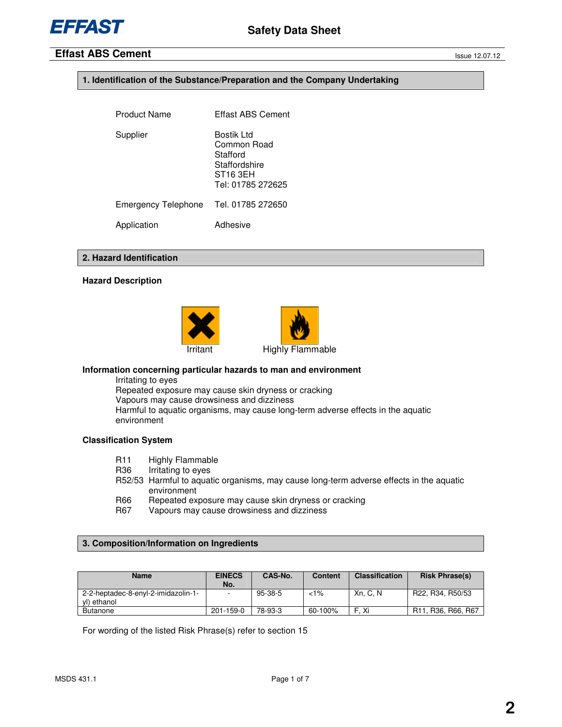# **1. Identification of the Substance/Preparation and the Company Undertaking**

| <b>Product Name</b>        | Effast ABS Cement                                                                                   |
|----------------------------|-----------------------------------------------------------------------------------------------------|
| Supplier                   | Bostik Ltd<br>Common Road<br>Stafford<br>Staffordshire<br>ST <sub>16</sub> 3EH<br>Tel: 01785 272625 |
| <b>Emergency Telephone</b> | Tel. 01785 272650                                                                                   |
| Application                | Adhesive                                                                                            |

# **2. Hazard Identification**

# **Hazard Description**





# **Information concerning particular hazards to man and environment**

Irritating to eyes Repeated exposure may cause skin dryness or cracking Vapours may cause drowsiness and dizziness Harmful to aquatic organisms, may cause long-term adverse effects in the aquatic environment

# **Classification System**

- R11 Highly Flammable
- R36 Irritating to eyes
- R52/53 Harmful to aquatic organisms, may cause long-term adverse effects in the aquatic environment
- R66 Repeated exposure may cause skin dryness or cracking<br>R67 Vapours may cause drowsiness and dizziness
- Vapours may cause drowsiness and dizziness

# **3. Composition/Information on Ingredients**

| Name                                               | <b>EINECS</b><br>No. | CAS-No. | Content | <b>Classification</b> | <b>Risk Phrase(s)</b>                                                 |
|----------------------------------------------------|----------------------|---------|---------|-----------------------|-----------------------------------------------------------------------|
| 2-2-heptadec-8-enyl-2-imidazolin-1-<br>vl) ethanol |                      | 95-38-5 | $1\%$   | Xn. C. N              | R22, R34, R50/53                                                      |
| <b>Butanone</b>                                    | $201 - 159 - 0$      | 78-93-3 | 60-100% | . Xi                  | R <sub>11</sub> , R <sub>36</sub> , R <sub>66</sub> , R <sub>67</sub> |

For wording of the listed Risk Phrase(s) refer to section 15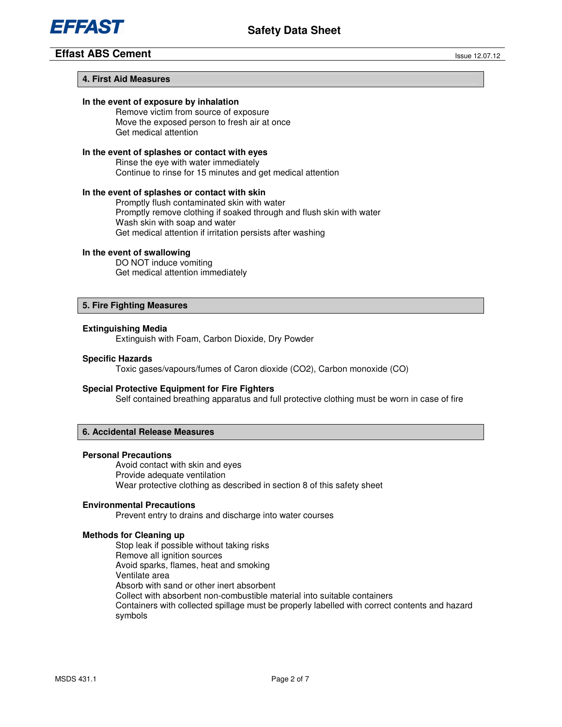

# **4. First Aid Measures**

# **In the event of exposure by inhalation**

Remove victim from source of exposure Move the exposed person to fresh air at once Get medical attention

# **In the event of splashes or contact with eyes**

 Rinse the eye with water immediately Continue to rinse for 15 minutes and get medical attention

# **In the event of splashes or contact with skin**

 Promptly flush contaminated skin with water Promptly remove clothing if soaked through and flush skin with water Wash skin with soap and water Get medical attention if irritation persists after washing

#### **In the event of swallowing**

DO NOT induce vomiting Get medical attention immediately

# **5. Fire Fighting Measures**

# **Extinguishing Media**

Extinguish with Foam, Carbon Dioxide, Dry Powder

# **Specific Hazards**

Toxic gases/vapours/fumes of Caron dioxide (CO2), Carbon monoxide (CO)

# **Special Protective Equipment for Fire Fighters**

Self contained breathing apparatus and full protective clothing must be worn in case of fire

# **6. Accidental Release Measures**

### **Personal Precautions**

Avoid contact with skin and eyes Provide adequate ventilation Wear protective clothing as described in section 8 of this safety sheet

# **Environmental Precautions**

Prevent entry to drains and discharge into water courses

# **Methods for Cleaning up**

Stop leak if possible without taking risks Remove all ignition sources Avoid sparks, flames, heat and smoking Ventilate area Absorb with sand or other inert absorbent Collect with absorbent non-combustible material into suitable containers Containers with collected spillage must be properly labelled with correct contents and hazard symbols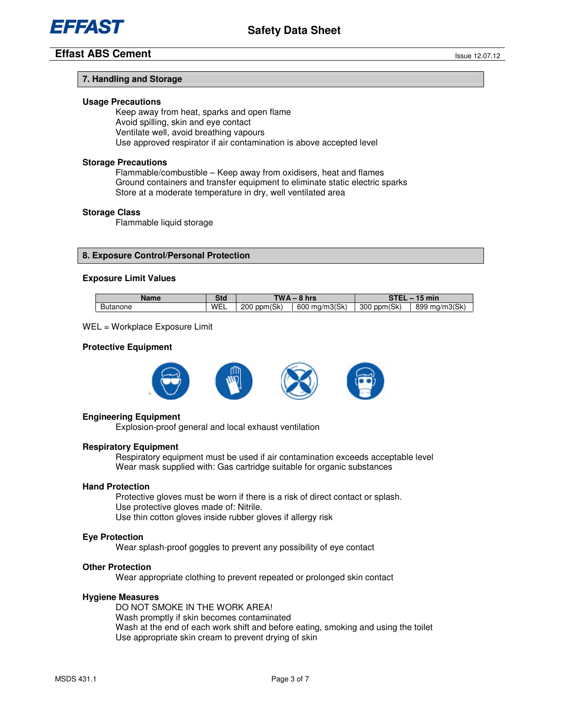

# **7. Handling and Storage**

# **Usage Precautions**

 Keep away from heat, sparks and open flame Avoid spilling, skin and eye contact Ventilate well, avoid breathing vapours Use approved respirator if air contamination is above accepted level

# **Storage Precautions**

Flammable/combustible – Keep away from oxidisers, heat and flames Ground containers and transfer equipment to eliminate static electric sparks Store at a moderate temperature in dry, well ventilated area

#### **Storage Class**

Flammable liquid storage

# **8. Exposure Control/Personal Protection**

#### **Exposure Limit Values**

| Name     | $\sim$ $\sim$ | <b>TWA</b>     |                  | $\sim$ TFI     |                  |
|----------|---------------|----------------|------------------|----------------|------------------|
|          | эια           | `hrs           |                  | min            |                  |
| Butanone | WEL           | ppm(Sk)<br>200 | ma/m3(Sk)<br>600 | ppm(Sk)<br>300 | ma/m3(Sk)<br>899 |

#### WEL = Workplace Exposure Limit

#### **Protective Equipment**



#### **Engineering Equipment**

Explosion-proof general and local exhaust ventilation

# **Respiratory Equipment**

Respiratory equipment must be used if air contamination exceeds acceptable level Wear mask supplied with: Gas cartridge suitable for organic substances

#### **Hand Protection**

 Protective gloves must be worn if there is a risk of direct contact or splash. Use protective gloves made of: Nitrile. Use thin cotton gloves inside rubber gloves if allergy risk

#### **Eye Protection**

Wear splash-proof goggles to prevent any possibility of eye contact

#### **Other Protection**

Wear appropriate clothing to prevent repeated or prolonged skin contact

#### **Hygiene Measures**

 DO NOT SMOKE IN THE WORK AREA! Wash promptly if skin becomes contaminated Wash at the end of each work shift and before eating, smoking and using the toilet Use appropriate skin cream to prevent drying of skin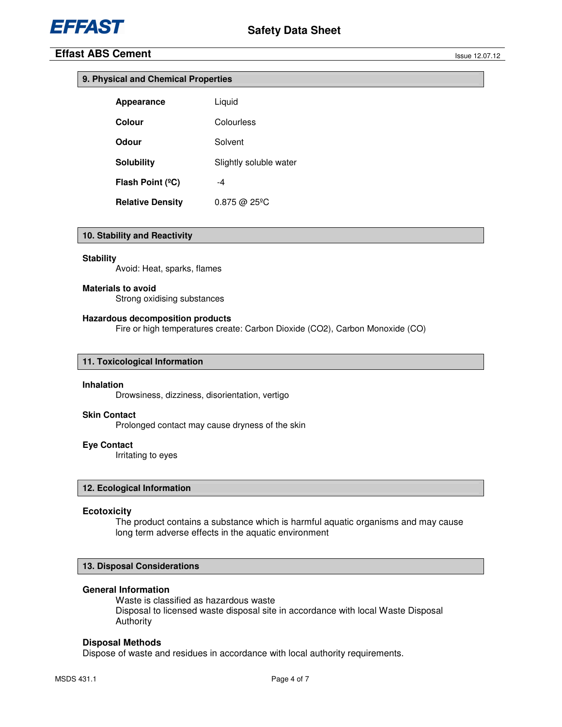|  |  |  |  | 9. Physical and Chemical Properties |  |  |
|--|--|--|--|-------------------------------------|--|--|
|--|--|--|--|-------------------------------------|--|--|

| Appearance              | Liquid                 |
|-------------------------|------------------------|
| Colour                  | Colourless             |
| Odour                   | Solvent                |
| <b>Solubility</b>       | Slightly soluble water |
| Flash Point (°C)        | -4                     |
| <b>Relative Density</b> | 0.875 @ 25°C           |

# **10. Stability and Reactivity**

#### **Stability**

Avoid: Heat, sparks, flames

#### **Materials to avoid**

Strong oxidising substances

# **Hazardous decomposition products**

Fire or high temperatures create: Carbon Dioxide (CO2), Carbon Monoxide (CO)

# **11. Toxicological Information**

# **Inhalation**

Drowsiness, dizziness, disorientation, vertigo

# **Skin Contact**

Prolonged contact may cause dryness of the skin

## **Eye Contact**

Irritating to eyes

# **12. Ecological Information**

### **Ecotoxicity**

The product contains a substance which is harmful aquatic organisms and may cause long term adverse effects in the aquatic environment

# **13. Disposal Considerations**

# **General Information**

 Waste is classified as hazardous waste Disposal to licensed waste disposal site in accordance with local Waste Disposal Authority

# **Disposal Methods**

Dispose of waste and residues in accordance with local authority requirements.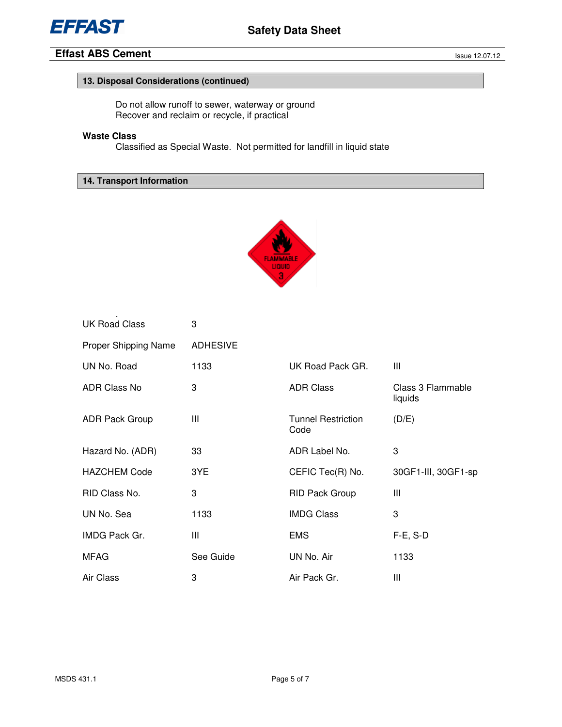

# **13. Disposal Considerations (continued)**

Do not allow runoff to sewer, waterway or ground Recover and reclaim or recycle, if practical

# **Waste Class**

.

Classified as Special Waste. Not permitted for landfill in liquid state

**14. Transport Information** 



| <b>UK Road Class</b>  | 3               |                                   |                              |
|-----------------------|-----------------|-----------------------------------|------------------------------|
| Proper Shipping Name  | <b>ADHESIVE</b> |                                   |                              |
| UN No. Road           | 1133            | UK Road Pack GR.                  | Ш                            |
| <b>ADR Class No</b>   | 3               | <b>ADR Class</b>                  | Class 3 Flammable<br>liquids |
| <b>ADR Pack Group</b> | Ш               | <b>Tunnel Restriction</b><br>Code | (D/E)                        |
| Hazard No. (ADR)      | 33              | ADR Label No.                     | 3                            |
| <b>HAZCHEM Code</b>   | 3YE             | CEFIC Tec(R) No.                  | 30GF1-III, 30GF1-sp          |
| RID Class No.         | 3               | <b>RID Pack Group</b>             | Ш                            |
| UN No. Sea            | 1133            | <b>IMDG Class</b>                 | 3                            |
| <b>IMDG Pack Gr.</b>  | Ш               | <b>EMS</b>                        | $F-E$ , S-D                  |
| <b>MFAG</b>           | See Guide       | UN No. Air                        | 1133                         |
| Air Class             | 3               | Air Pack Gr.                      | Ш                            |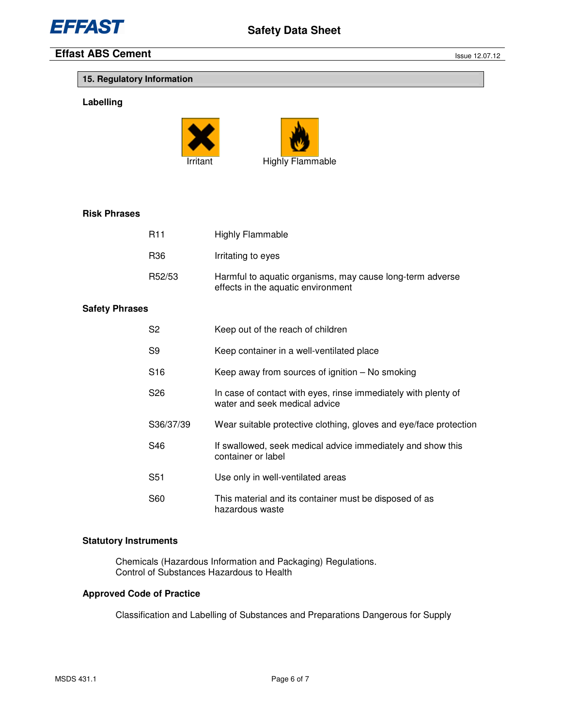

# **15. Regulatory Information**

# **Labelling**





# **Risk Phrases**

| <b>R11</b>      | Highly Flammable                                                                                |
|-----------------|-------------------------------------------------------------------------------------------------|
| R <sub>36</sub> | Irritating to eyes                                                                              |
| R52/53          | Harmful to aquatic organisms, may cause long-term adverse<br>effects in the aquatic environment |

# **Safety Phrases**

| S <sub>2</sub>  | Keep out of the reach of children                                                               |
|-----------------|-------------------------------------------------------------------------------------------------|
| S9              | Keep container in a well-ventilated place                                                       |
| S <sub>16</sub> | Keep away from sources of ignition $-$ No smoking                                               |
| S26             | In case of contact with eyes, rinse immediately with plenty of<br>water and seek medical advice |
| S36/37/39       | Wear suitable protective clothing, gloves and eye/face protection                               |
| S46.            | If swallowed, seek medical advice immediately and show this<br>container or label               |
| S <sub>51</sub> | Use only in well-ventilated areas                                                               |
| S60             | This material and its container must be disposed of as<br>hazardous waste                       |

# **Statutory Instruments**

 Chemicals (Hazardous Information and Packaging) Regulations. Control of Substances Hazardous to Health

# **Approved Code of Practice**

Classification and Labelling of Substances and Preparations Dangerous for Supply